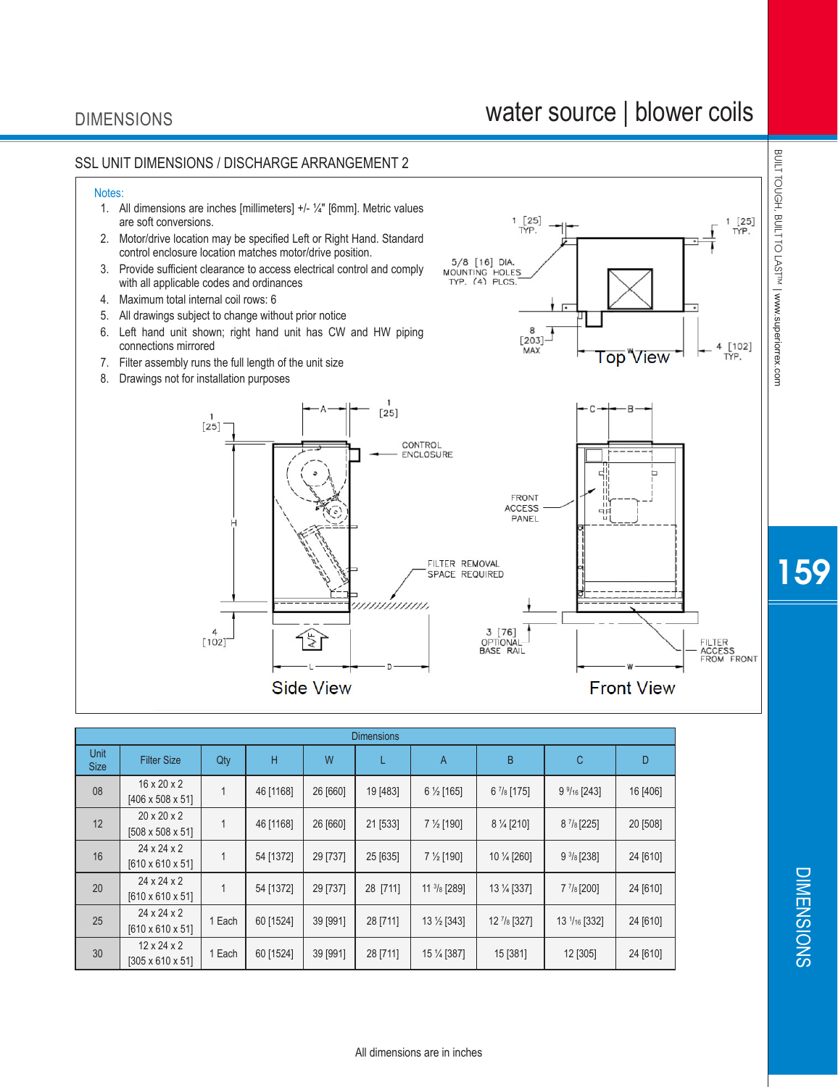## DIMENSIONS

## water source | blower coils



| <b>Dimensions</b>          |                                                         |        |           |          |          |                        |                          |                       |          |
|----------------------------|---------------------------------------------------------|--------|-----------|----------|----------|------------------------|--------------------------|-----------------------|----------|
| <b>Unit</b><br><b>Size</b> | <b>Filter Size</b>                                      | Qty    | Н         | W        | L        | A                      | B                        | С                     | D        |
| 08                         | $16 \times 20 \times 2$<br>$[406 \times 508 \times 51]$ |        | 46 [1168] | 26 [660] | 19 [483] | $6\frac{1}{2}$ [165]   | $6\frac{7}{8}$ [175]     | $9\frac{9}{16}$ [243] | 16 [406] |
| 12                         | $20 \times 20 \times 2$<br>$[508 \times 508 \times 51]$ |        | 46 [1168] | 26 [660] | 21 [533] | 7 $\frac{1}{2}$ [190]  | 8 % [210]                | $8\frac{7}{8}$ [225]  | 20 [508] |
| 16                         | $24 \times 24 \times 2$<br>$[610 \times 610 \times 51]$ |        | 54 [1372] | 29 [737] | 25 [635] | 7 $\frac{1}{2}$ [190]  | 10 1/4 [260]             | $9\frac{3}{8}$ [238]  | 24 [610] |
| 20                         | $24 \times 24 \times 2$<br>$[610 \times 610 \times 51]$ |        | 54 [1372] | 29 [737] | 28 [711] | $11 \frac{3}{8}$ [289] | 13 1/4 [337]             | $7\frac{7}{8}$ [200]  | 24 [610] |
| 25                         | $24 \times 24 \times 2$<br>$[610 \times 610 \times 51]$ | 1 Each | 60 [1524] | 39 [991] | 28 [711] | 13 1/2 [343]           | $12$ $\frac{7}{8}$ [327] | 13 $1/16$ [332]       | 24 [610] |
| 30                         | $12 \times 24 \times 2$<br>$[305 \times 610 \times 51]$ | 1 Each | 60 [1524] | 39 [991] | 28 [711] | 15 % [387]             | 15 [381]                 | 12 [305]              | 24 [610] |

159